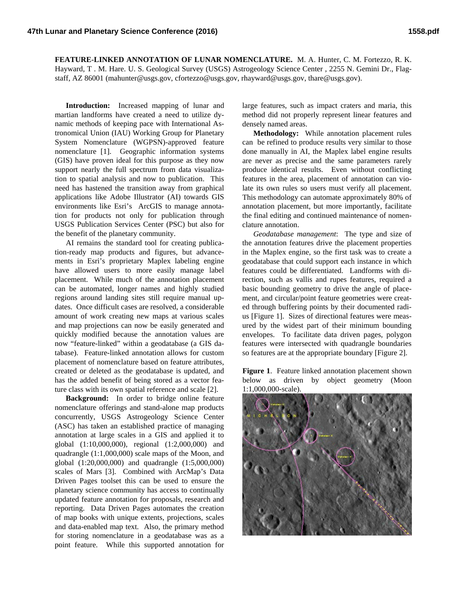**FEATURE-LINKED ANNOTATION OF LUNAR NOMENCLATURE.** M. A. Hunter, C. M. Fortezzo, R. K. Hayward, T . M. Hare. U. S. Geological Survey (USGS) Astrogeology Science Center , 2255 N. Gemini Dr., Flagstaff, AZ 86001 (mahunter@usgs.gov, cfortezzo@usgs.gov, rhayward@usgs.gov, thare@usgs.gov).

**Introduction:** Increased mapping of lunar and martian landforms have created a need to utilize dynamic methods of keeping pace with International Astronomical Union (IAU) Working Group for Planetary System Nomenclature (WGPSN)-approved feature nomenclature [1]. Geographic information systems (GIS) have proven ideal for this purpose as they now support nearly the full spectrum from data visualization to spatial analysis and now to publication. This need has hastened the transition away from graphical applications like Adobe Illustrator (AI) towards GIS environments like Esri's ArcGIS to manage annotation for products not only for publication through USGS Publication Services Center (PSC) but also for the benefit of the planetary community.

AI remains the standard tool for creating publication-ready map products and figures, but advancements in Esri's proprietary Maplex labeling engine have allowed users to more easily manage label placement. While much of the annotation placement can be automated, longer names and highly studied regions around landing sites still require manual updates. Once difficult cases are resolved, a considerable amount of work creating new maps at various scales and map projections can now be easily generated and quickly modified because the annotation values are now "feature-linked" within a geodatabase (a GIS database). Feature-linked annotation allows for custom placement of nomenclature based on feature attributes, created or deleted as the geodatabase is updated, and has the added benefit of being stored as a vector feature class with its own spatial reference and scale [2].

**Background:** In order to bridge online feature nomenclature offerings and stand-alone map products concurrently, USGS Astrogeology Science Center (ASC) has taken an established practice of managing annotation at large scales in a GIS and applied it to global (1:10,000,000), regional (1:2,000,000) and quadrangle (1:1,000,000) scale maps of the Moon, and global (1:20,000,000) and quadrangle (1:5,000,000) scales of Mars [3]. Combined with ArcMap's Data Driven Pages toolset this can be used to ensure the planetary science community has access to continually updated feature annotation for proposals, research and reporting. Data Driven Pages automates the creation of map books with unique extents, projections, scales and data-enabled map text. Also, the primary method for storing nomenclature in a geodatabase was as a point feature. While this supported annotation for

large features, such as impact craters and maria, this method did not properly represent linear features and densely named areas.

**Methodology:** While annotation placement rules can be refined to produce results very similar to those done manually in AI, the Maplex label engine results are never as precise and the same parameters rarely produce identical results. Even without conflicting features in the area, placement of annotation can violate its own rules so users must verify all placement. This methodology can automate approximately 80% of annotation placement, but more importantly, facilitate the final editing and continued maintenance of nomenclature annotation.

*Geodatabase management*: The type and size of the annotation features drive the placement properties in the Maplex engine, so the first task was to create a geodatabase that could support each instance in which features could be differentiated. Landforms with direction, such as vallis and rupes features, required a basic bounding geometry to drive the angle of placement, and circular/point feature geometries were created through buffering points by their documented radius [Figure 1]. Sizes of directional features were measured by the widest part of their minimum bounding envelopes. To facilitate data driven pages, polygon features were intersected with quadrangle boundaries so features are at the appropriate boundary [Figure 2].

**Figure 1**. Feature linked annotation placement shown below as driven by object geometry (Moon 1:1,000,000-scale).